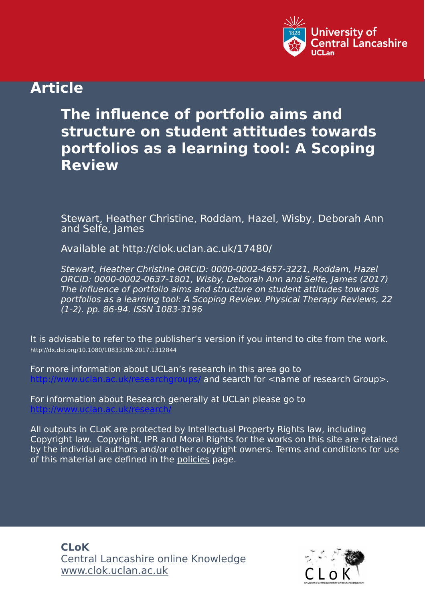

# **Article**

# **The influence of portfolio aims and structure on student attitudes towards portfolios as a learning tool: A Scoping Review**

Stewart, Heather Christine, Roddam, Hazel, Wisby, Deborah Ann and Selfe, James

Available at http://clok.uclan.ac.uk/17480/

Stewart, Heather Christine ORCID: 0000-0002-4657-3221, Roddam, Hazel ORCID: 0000-0002-0637-1801, Wisby, Deborah Ann and Selfe, James (2017) The influence of portfolio aims and structure on student attitudes towards portfolios as a learning tool: A Scoping Review. Physical Therapy Reviews, 22 (1-2). pp. 86-94. ISSN 1083-3196

It is advisable to refer to the publisher's version if you intend to cite from the work. http://dx.doi.org/10.1080/10833196.2017.1312844

For more information about UCLan's research in this area go to and search for <name of research Group>.

For information about Research generally at UCLan please go to <http://www.uclan.ac.uk/research/>

All outputs in CLoK are protected by Intellectual Property Rights law, including Copyright law. Copyright, IPR and Moral Rights for the works on this site are retained by the individual authors and/or other copyright owners. Terms and conditions for use of this material are defined in the [policies](https://clok.uclan.ac.uk/policies.html) page.

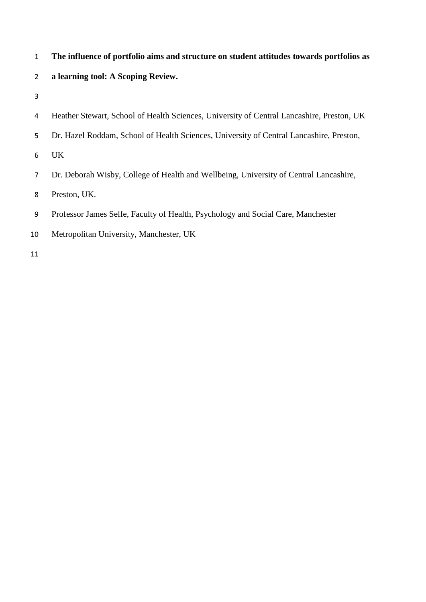| The influence of portfolio aims and structure on student attitudes towards portfolios as |
|------------------------------------------------------------------------------------------|
| a learning tool: A Scoping Review.                                                       |

| 4 Heather Stewart, School of Health Sciences, University of Central Lancashire, Preston, UK |  |  |  |  |
|---------------------------------------------------------------------------------------------|--|--|--|--|
|                                                                                             |  |  |  |  |

- Dr. Hazel Roddam, School of Health Sciences, University of Central Lancashire, Preston,
- UK
- Dr. Deborah Wisby, College of Health and Wellbeing, University of Central Lancashire,
- Preston, UK.
- Professor James Selfe, Faculty of Health, Psychology and Social Care, Manchester
- Metropolitan University, Manchester, UK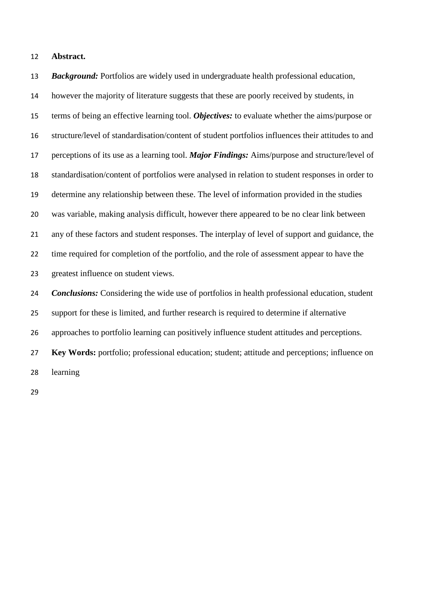#### **Abstract.**

 *Background:* Portfolios are widely used in undergraduate health professional education, however the majority of literature suggests that these are poorly received by students, in terms of being an effective learning tool. *Objectives:* to evaluate whether the aims/purpose or structure/level of standardisation/content of student portfolios influences their attitudes to and perceptions of its use as a learning tool. *Major Findings:* Aims/purpose and structure/level of standardisation/content of portfolios were analysed in relation to student responses in order to determine any relationship between these. The level of information provided in the studies was variable, making analysis difficult, however there appeared to be no clear link between any of these factors and student responses. The interplay of level of support and guidance, the time required for completion of the portfolio, and the role of assessment appear to have the greatest influence on student views. *Conclusions:* Considering the wide use of portfolios in health professional education, student support for these is limited, and further research is required to determine if alternative approaches to portfolio learning can positively influence student attitudes and perceptions.

 **Key Words:** portfolio; professional education; student; attitude and perceptions; influence on learning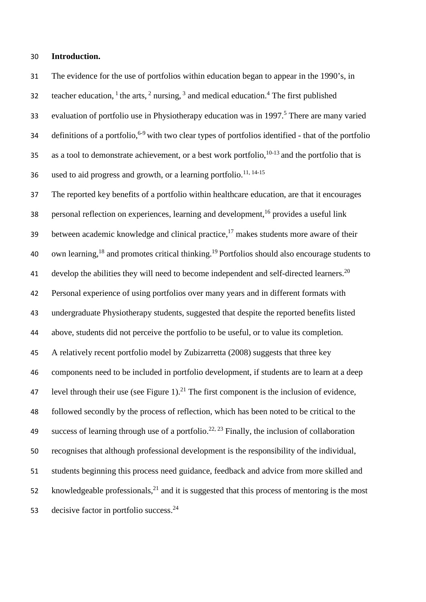#### 30 **Introduction.**

31 The evidence for the use of portfolios within education began to appear in the 1990's, in 32 teacher education,  $1$  the arts,  $2$  nursing,  $3$  and medical education.  $4$  The first published 33 evaluation of portfolio use in Physiotherapy education was in 1997.<sup>5</sup> There are many varied 34 definitions of a portfolio,  $6-9$  with two clear types of portfolios identified - that of the portfolio 35 as a tool to demonstrate achievement, or a best work portfolio,  $10-13$  and the portfolio that is 36 used to aid progress and growth, or a learning portfolio.<sup>11, 14-15</sup>

37 The reported key benefits of a portfolio within healthcare education, are that it encourages 38 personal reflection on experiences, learning and development,<sup>16</sup> provides a useful link between academic knowledge and clinical practice, $17$  makes students more aware of their 40 own learning,<sup>18</sup> and promotes critical thinking.<sup>19</sup> Portfolios should also encourage students to 41 develop the abilities they will need to become independent and self-directed learners.<sup>20</sup> 42 Personal experience of using portfolios over many years and in different formats with 43 undergraduate Physiotherapy students, suggested that despite the reported benefits listed 44 above, students did not perceive the portfolio to be useful, or to value its completion. 45 A relatively recent portfolio model by Zubizarretta (2008) suggests that three key 46 components need to be included in portfolio development, if students are to learn at a deep 47 level through their use (see Figure 1). $^{21}$  The first component is the inclusion of evidence, 48 followed secondly by the process of reflection, which has been noted to be critical to the 49 success of learning through use of a portfolio.<sup>22, 23</sup> Finally, the inclusion of collaboration 50 recognises that although professional development is the responsibility of the individual, 51 students beginning this process need guidance, feedback and advice from more skilled and 52 knowledgeable professionals,  $21$  and it is suggested that this process of mentoring is the most 53 decisive factor in portfolio success.<sup>24</sup>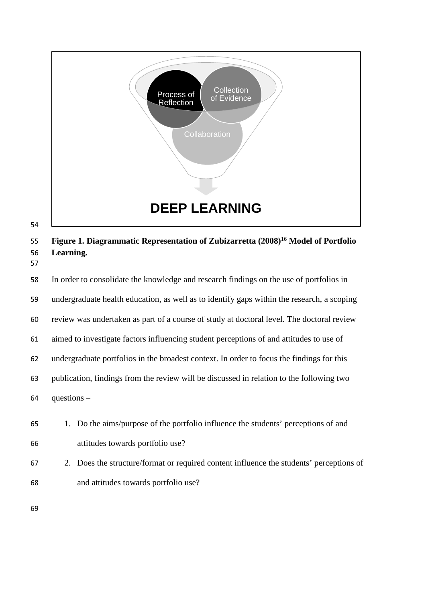

**Figure 1. Diagrammatic Representation of Zubizarretta (2008) <sup>16</sup> Model of Portfolio Learning.** 

 In order to consolidate the knowledge and research findings on the use of portfolios in undergraduate health education, as well as to identify gaps within the research, a scoping review was undertaken as part of a course of study at doctoral level. The doctoral review aimed to investigate factors influencing student perceptions of and attitudes to use of undergraduate portfolios in the broadest context. In order to focus the findings for this publication, findings from the review will be discussed in relation to the following two questions –

- 1. Do the aims/purpose of the portfolio influence the students' perceptions of and attitudes towards portfolio use?
- 2. Does the structure/format or required content influence the students' perceptions of and attitudes towards portfolio use?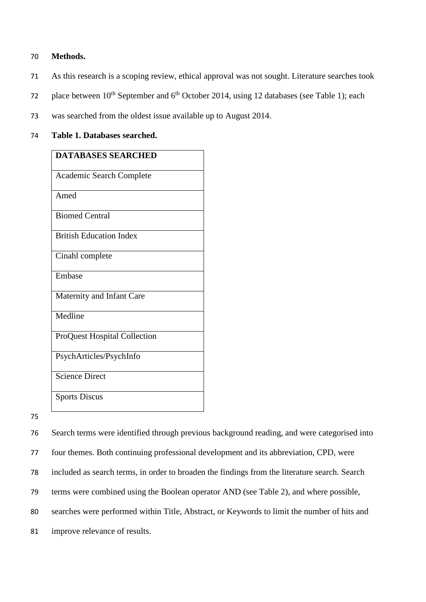#### 70 **Methods.**

- 71 As this research is a scoping review, ethical approval was not sought. Literature searches took
- place between  $10^{th}$  September and  $6^{th}$  October 2014, using 12 databases (see Table 1); each
- 73 was searched from the oldest issue available up to August 2014.

#### 74 **Table 1. Databases searched.**

| <b>DATABASES SEARCHED</b>      |
|--------------------------------|
| Academic Search Complete       |
| Amed                           |
| <b>Biomed Central</b>          |
| <b>British Education Index</b> |
| Cinahl complete                |
| Embase                         |
| Maternity and Infant Care      |
| Medline                        |
| ProQuest Hospital Collection   |
| PsychArticles/PsychInfo        |
| Science Direct                 |
| <b>Sports Discus</b>           |

75

76 Search terms were identified through previous background reading, and were categorised into

77 four themes. Both continuing professional development and its abbreviation, CPD, were

78 included as search terms, in order to broaden the findings from the literature search. Search

79 terms were combined using the Boolean operator AND (see Table 2), and where possible,

80 searches were performed within Title, Abstract, or Keywords to limit the number of hits and

81 improve relevance of results.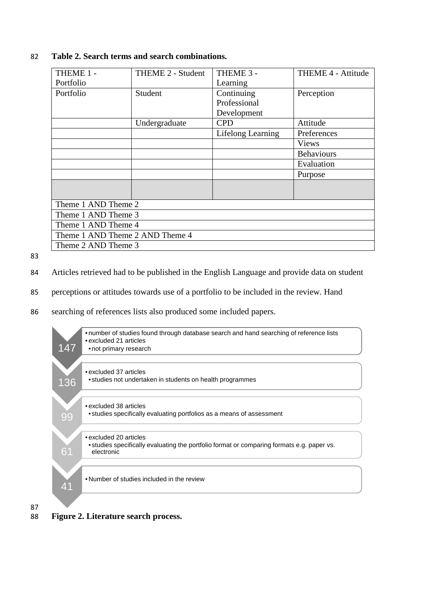| THEME 1 -                       | THEME 2 - Student | THEME 3 -         | THEME 4 - Attitude |
|---------------------------------|-------------------|-------------------|--------------------|
| Portfolio                       |                   | Learning          |                    |
| Portfolio                       | Student           | Continuing        | Perception         |
|                                 |                   | Professional      |                    |
|                                 |                   | Development       |                    |
|                                 | Undergraduate     | <b>CPD</b>        | Attitude           |
|                                 |                   | Lifelong Learning | Preferences        |
|                                 |                   |                   | <b>Views</b>       |
|                                 |                   |                   | <b>Behaviours</b>  |
|                                 |                   |                   | Evaluation         |
|                                 |                   |                   | Purpose            |
|                                 |                   |                   |                    |
|                                 |                   |                   |                    |
| Theme 1 AND Theme 2             |                   |                   |                    |
| Theme 1 AND Theme 3             |                   |                   |                    |
| Theme 1 AND Theme 4             |                   |                   |                    |
| Theme 1 AND Theme 2 AND Theme 4 |                   |                   |                    |
| Theme 2 AND Theme 3             |                   |                   |                    |

#### 82 **Table 2. Search terms and search combinations.**

83

87

84 Articles retrieved had to be published in the English Language and provide data on student

85 perceptions or attitudes towards use of a portfolio to be included in the review. Hand

86 searching of references lists also produced some included papers.



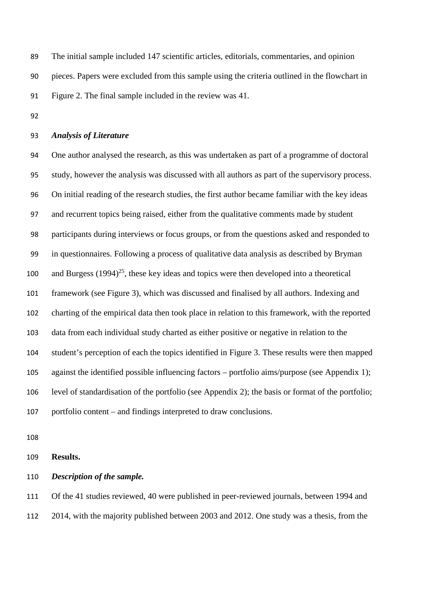The initial sample included 147 scientific articles, editorials, commentaries, and opinion pieces. Papers were excluded from this sample using the criteria outlined in the flowchart in Figure 2. The final sample included in the review was 41.

#### *Analysis of Literature*

 One author analysed the research, as this was undertaken as part of a programme of doctoral study, however the analysis was discussed with all authors as part of the supervisory process. On initial reading of the research studies, the first author became familiar with the key ideas and recurrent topics being raised, either from the qualitative comments made by student participants during interviews or focus groups, or from the questions asked and responded to in questionnaires. Following a process of qualitative data analysis as described by Bryman 100 and Burgess  $(1994)^{25}$ , these key ideas and topics were then developed into a theoretical framework (see Figure 3), which was discussed and finalised by all authors. Indexing and charting of the empirical data then took place in relation to this framework, with the reported data from each individual study charted as either positive or negative in relation to the student's perception of each the topics identified in Figure 3. These results were then mapped against the identified possible influencing factors – portfolio aims/purpose (see Appendix 1); level of standardisation of the portfolio (see Appendix 2); the basis or format of the portfolio; portfolio content – and findings interpreted to draw conclusions.

#### **Results.**

#### *Description of the sample.*

 Of the 41 studies reviewed, 40 were published in peer-reviewed journals, between 1994 and 2014, with the majority published between 2003 and 2012. One study was a thesis, from the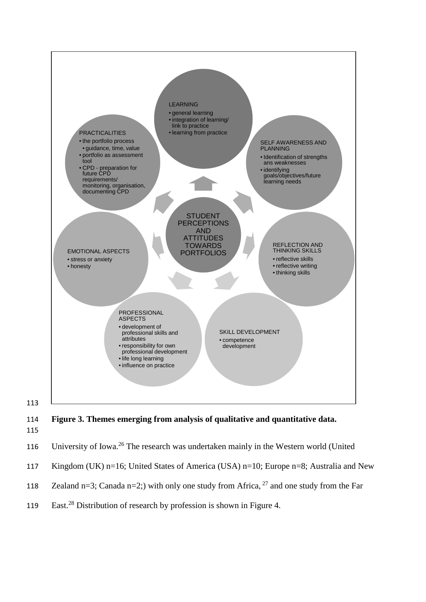

114 **Figure 3. Themes emerging from analysis of qualitative and quantitative data.** 115



- 117 Kingdom (UK) n=16; United States of America (USA) n=10; Europe n=8; Australia and New
- 118 Zealand n=3; Canada n=2;) with only one study from Africa,  $2^7$  and one study from the Far
- 119 East.<sup>28</sup> Distribution of research by profession is shown in Figure 4.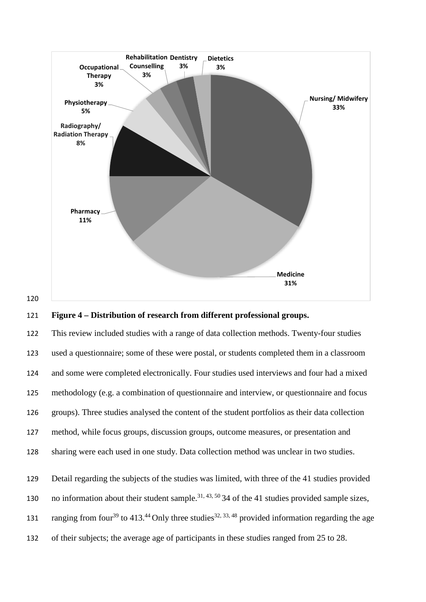

#### 121 **Figure 4 – Distribution of research from different professional groups.**

 This review included studies with a range of data collection methods. Twenty-four studies used a questionnaire; some of these were postal, or students completed them in a classroom and some were completed electronically. Four studies used interviews and four had a mixed methodology (e.g. a combination of questionnaire and interview, or questionnaire and focus groups). Three studies analysed the content of the student portfolios as their data collection method, while focus groups, discussion groups, outcome measures, or presentation and sharing were each used in one study. Data collection method was unclear in two studies. Detail regarding the subjects of the studies was limited, with three of the 41 studies provided

130 no information about their student sample.<sup>31, 43, 50</sup> 34 of the 41 studies provided sample sizes,

- 131 ranging from four<sup>39</sup> to 413.<sup>44</sup> Only three studies<sup>32, 33, 48</sup> provided information regarding the age
- 132 of their subjects; the average age of participants in these studies ranged from 25 to 28.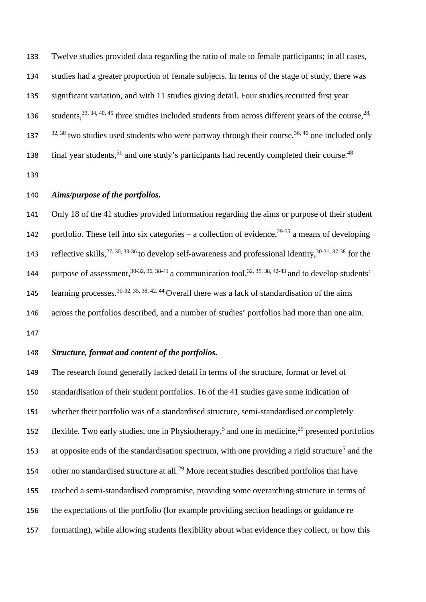133 Twelve studies provided data regarding the ratio of male to female participants; in all cases, 134 studies had a greater proportion of female subjects. In terms of the stage of study, there was 135 significant variation, and with 11 studies giving detail. Four studies recruited first year 136 students,  $33, 34, 40, 45$  three studies included students from across different years of the course,  $28$ ,  $32^{32, 38}$  two studies used students who were partway through their course,<sup>36, 46</sup> one included only 138 final year students,<sup>51</sup> and one study's participants had recently completed their course.<sup>48</sup>

139

#### 140 *Aims/purpose of the portfolios.*

141 Only 18 of the 41 studies provided information regarding the aims or purpose of their student 142 portfolio. These fell into six categories – a collection of evidence,  $29-35$  a means of developing 143 reflective skills,  $27, 30, 33-36$  to develop self-awareness and professional identity,  $30-31, 37-38$  for the 144 purpose of assessment,  $30-32, 36, 38-41$  a communication tool,  $32, 35, 38, 42-43$  and to develop students' 145 learning processes.  $30-32, 35, 38, 42, 44$  Overall there was a lack of standardisation of the aims 146 across the portfolios described, and a number of studies' portfolios had more than one aim. 147

#### 148 *Structure, format and content of the portfolios.*

 The research found generally lacked detail in terms of the structure, format or level of standardisation of their student portfolios. 16 of the 41 studies gave some indication of whether their portfolio was of a standardised structure, semi-standardised or completely 152 flexible. Two early studies, one in Physiotherapy,<sup>5</sup> and one in medicine,<sup>29</sup> presented portfolios 153 at opposite ends of the standardisation spectrum, with one providing a rigid structure<sup>5</sup> and the 154 other no standardised structure at all.<sup>29</sup> More recent studies described portfolios that have reached a semi-standardised compromise, providing some overarching structure in terms of the expectations of the portfolio (for example providing section headings or guidance re formatting), while allowing students flexibility about what evidence they collect, or how this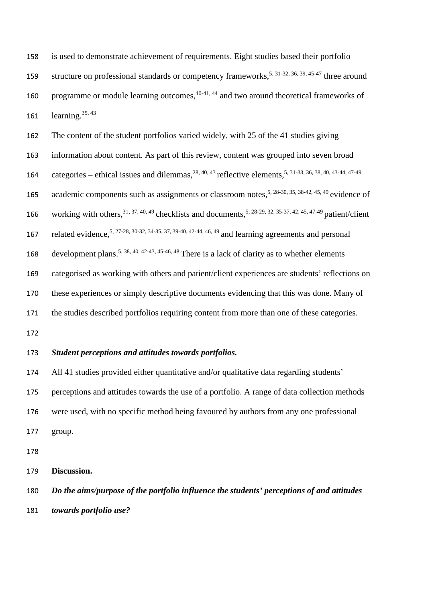is used to demonstrate achievement of requirements. Eight studies based their portfolio 159 structure on professional standards or competency frameworks,  $5, 31-32, 36, 39, 45-47$  three around 160 programme or module learning outcomes,  $40-41$ ,  $44$  and two around theoretical frameworks of 161  $learning.^{35,43}$ 

 The content of the student portfolios varied widely, with 25 of the 41 studies giving information about content. As part of this review, content was grouped into seven broad 164 categories – ethical issues and dilemmas,  $^{28, 40, 43}$  reflective elements,  $^{5, 31-33, 36, 38, 40, 43-44, 47-49}$ 165 academic components such as assignments or classroom notes,<sup>5, 28-30, 35, 38-42, 45, 49</sup> evidence of 166 working with others,  $31, 37, 40, 49$  checklists and documents,  $5, 28-29, 32, 35-37, 42, 45, 47-49$  patient/client 167 related evidence,  $5, 27-28, 30-32, 34-35, 37, 39-40, 42-44, 46, 49$  and learning agreements and personal 168 development plans.<sup>5, 38, 40, 42-43, 45-46, 48</sup> There is a lack of clarity as to whether elements categorised as working with others and patient/client experiences are students' reflections on these experiences or simply descriptive documents evidencing that this was done. Many of the studies described portfolios requiring content from more than one of these categories. 

### *Student perceptions and attitudes towards portfolios.*

 All 41 studies provided either quantitative and/or qualitative data regarding students' perceptions and attitudes towards the use of a portfolio. A range of data collection methods were used, with no specific method being favoured by authors from any one professional group.

**Discussion.**

 *Do the aims/purpose of the portfolio influence the students' perceptions of and attitudes towards portfolio use?*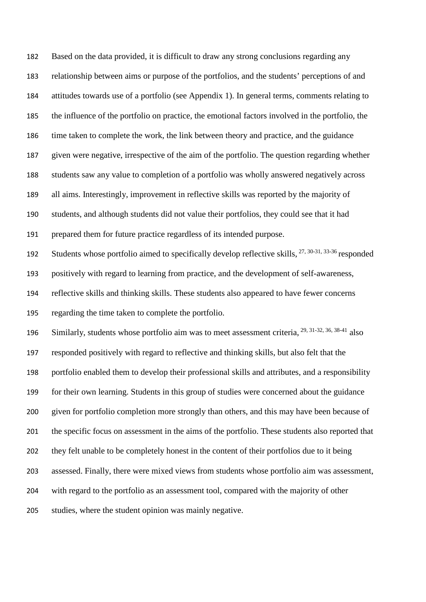Based on the data provided, it is difficult to draw any strong conclusions regarding any relationship between aims or purpose of the portfolios, and the students' perceptions of and attitudes towards use of a portfolio (see Appendix 1). In general terms, comments relating to the influence of the portfolio on practice, the emotional factors involved in the portfolio, the time taken to complete the work, the link between theory and practice, and the guidance given were negative, irrespective of the aim of the portfolio. The question regarding whether students saw any value to completion of a portfolio was wholly answered negatively across all aims. Interestingly, improvement in reflective skills was reported by the majority of students, and although students did not value their portfolios, they could see that it had prepared them for future practice regardless of its intended purpose. 192 Students whose portfolio aimed to specifically develop reflective skills,  $^{27, 30-31, 33-36}$  responded positively with regard to learning from practice, and the development of self-awareness, reflective skills and thinking skills. These students also appeared to have fewer concerns regarding the time taken to complete the portfolio. 196 Similarly, students whose portfolio aim was to meet assessment criteria,  $^{29, 31-32, 36, 38-41}$  also responded positively with regard to reflective and thinking skills, but also felt that the portfolio enabled them to develop their professional skills and attributes, and a responsibility for their own learning. Students in this group of studies were concerned about the guidance given for portfolio completion more strongly than others, and this may have been because of the specific focus on assessment in the aims of the portfolio. These students also reported that they felt unable to be completely honest in the content of their portfolios due to it being assessed. Finally, there were mixed views from students whose portfolio aim was assessment, with regard to the portfolio as an assessment tool, compared with the majority of other studies, where the student opinion was mainly negative.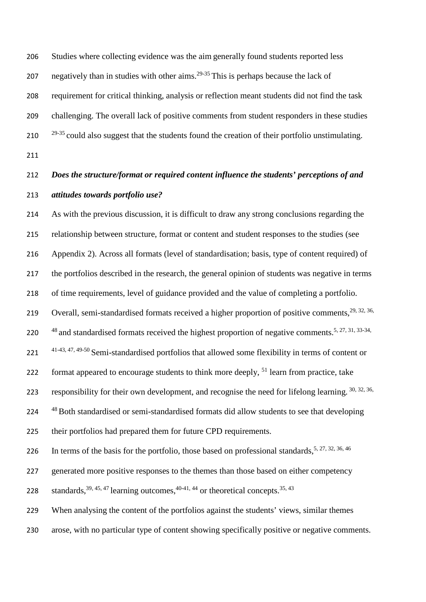Studies where collecting evidence was the aim generally found students reported less 207 negatively than in studies with other aims.<sup>29-35</sup> This is perhaps because the lack of requirement for critical thinking, analysis or reflection meant students did not find the task challenging. The overall lack of positive comments from student responders in these studies <sup>29-35</sup> could also suggest that the students found the creation of their portfolio unstimulating.

# *Does the structure/format or required content influence the students' perceptions of and attitudes towards portfolio use?*

 As with the previous discussion, it is difficult to draw any strong conclusions regarding the relationship between structure, format or content and student responses to the studies (see Appendix 2). Across all formats (level of standardisation; basis, type of content required) of the portfolios described in the research, the general opinion of students was negative in terms of time requirements, level of guidance provided and the value of completing a portfolio. 219 Overall, semi-standardised formats received a higher proportion of positive comments,  $29, 32, 36$ , 220  $^{48}$  and standardised formats received the highest proportion of negative comments.<sup>5, 27, 31, 33-34,</sup>  $41-43, 47, 49-50$  Semi-standardised portfolios that allowed some flexibility in terms of content or 222 format appeared to encourage students to think more deeply, learn from practice, take 223 responsibility for their own development, and recognise the need for lifelong learning.  $30, 32, 36$ , <sup>48</sup> Both standardised or semi-standardised formats did allow students to see that developing their portfolios had prepared them for future CPD requirements. 226 In terms of the basis for the portfolio, those based on professional standards,  $5, 27, 32, 36, 46$ generated more positive responses to the themes than those based on either competency

228 standards,  $39, 45, 47$  learning outcomes,  $40-41, 44$  or theoretical concepts.  $35, 43$ 

When analysing the content of the portfolios against the students' views, similar themes

arose, with no particular type of content showing specifically positive or negative comments.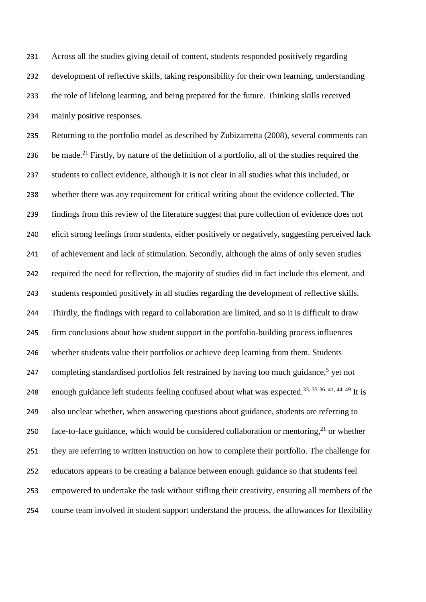Across all the studies giving detail of content, students responded positively regarding development of reflective skills, taking responsibility for their own learning, understanding the role of lifelong learning, and being prepared for the future. Thinking skills received mainly positive responses.

 Returning to the portfolio model as described by Zubizarretta (2008), several comments can 236 be made.<sup>21</sup> Firstly, by nature of the definition of a portfolio, all of the studies required the students to collect evidence, although it is not clear in all studies what this included, or whether there was any requirement for critical writing about the evidence collected. The findings from this review of the literature suggest that pure collection of evidence does not elicit strong feelings from students, either positively or negatively, suggesting perceived lack of achievement and lack of stimulation. Secondly, although the aims of only seven studies required the need for reflection, the majority of studies did in fact include this element, and students responded positively in all studies regarding the development of reflective skills. Thirdly, the findings with regard to collaboration are limited, and so it is difficult to draw firm conclusions about how student support in the portfolio-building process influences whether students value their portfolios or achieve deep learning from them. Students 247 completing standardised portfolios felt restrained by having too much guidance, yet not 248 enough guidance left students feeling confused about what was expected.<sup>33, 35-36, 41, 44, 49</sup> It is also unclear whether, when answering questions about guidance, students are referring to 250 face-to-face guidance, which would be considered collaboration or mentoring, or whether they are referring to written instruction on how to complete their portfolio. The challenge for educators appears to be creating a balance between enough guidance so that students feel empowered to undertake the task without stifling their creativity, ensuring all members of the course team involved in student support understand the process, the allowances for flexibility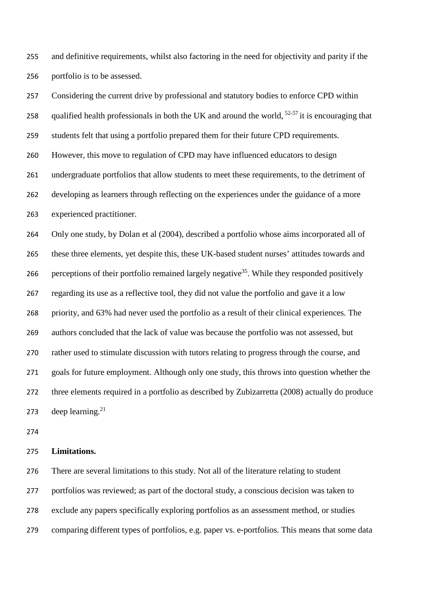and definitive requirements, whilst also factoring in the need for objectivity and parity if the portfolio is to be assessed.

 Considering the current drive by professional and statutory bodies to enforce CPD within 258 qualified health professionals in both the UK and around the world,  $52-57$  it is encouraging that students felt that using a portfolio prepared them for their future CPD requirements. However, this move to regulation of CPD may have influenced educators to design undergraduate portfolios that allow students to meet these requirements, to the detriment of developing as learners through reflecting on the experiences under the guidance of a more experienced practitioner. Only one study, by Dolan et al (2004), described a portfolio whose aims incorporated all of these three elements, yet despite this, these UK-based student nurses' attitudes towards and 266 perceptions of their portfolio remained largely negative<sup>35</sup>. While they responded positively regarding its use as a reflective tool, they did not value the portfolio and gave it a low priority, and 63% had never used the portfolio as a result of their clinical experiences. The authors concluded that the lack of value was because the portfolio was not assessed, but rather used to stimulate discussion with tutors relating to progress through the course, and goals for future employment. Although only one study, this throws into question whether the three elements required in a portfolio as described by Zubizarretta (2008) actually do produce 273 deep learning.<sup>21</sup>

#### **Limitations.**

 There are several limitations to this study. Not all of the literature relating to student portfolios was reviewed; as part of the doctoral study, a conscious decision was taken to exclude any papers specifically exploring portfolios as an assessment method, or studies comparing different types of portfolios, e.g. paper vs. e-portfolios. This means that some data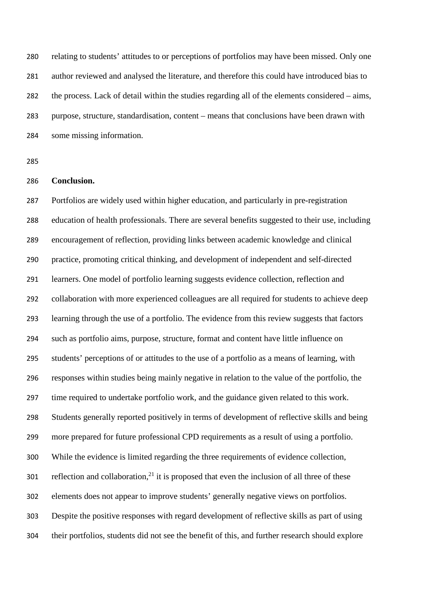relating to students' attitudes to or perceptions of portfolios may have been missed. Only one author reviewed and analysed the literature, and therefore this could have introduced bias to the process. Lack of detail within the studies regarding all of the elements considered – aims, purpose, structure, standardisation, content – means that conclusions have been drawn with some missing information.

#### **Conclusion.**

 Portfolios are widely used within higher education, and particularly in pre-registration education of health professionals. There are several benefits suggested to their use, including encouragement of reflection, providing links between academic knowledge and clinical practice, promoting critical thinking, and development of independent and self-directed learners. One model of portfolio learning suggests evidence collection, reflection and collaboration with more experienced colleagues are all required for students to achieve deep learning through the use of a portfolio. The evidence from this review suggests that factors such as portfolio aims, purpose, structure, format and content have little influence on students' perceptions of or attitudes to the use of a portfolio as a means of learning, with responses within studies being mainly negative in relation to the value of the portfolio, the time required to undertake portfolio work, and the guidance given related to this work. Students generally reported positively in terms of development of reflective skills and being more prepared for future professional CPD requirements as a result of using a portfolio. While the evidence is limited regarding the three requirements of evidence collection, 301 reflection and collaboration, it is proposed that even the inclusion of all three of these elements does not appear to improve students' generally negative views on portfolios. Despite the positive responses with regard development of reflective skills as part of using their portfolios, students did not see the benefit of this, and further research should explore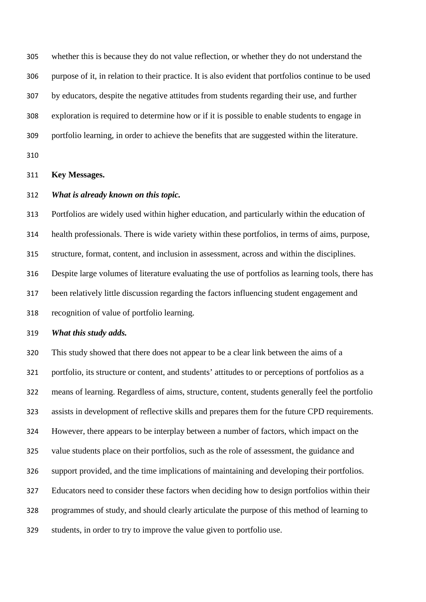whether this is because they do not value reflection, or whether they do not understand the purpose of it, in relation to their practice. It is also evident that portfolios continue to be used by educators, despite the negative attitudes from students regarding their use, and further exploration is required to determine how or if it is possible to enable students to engage in portfolio learning, in order to achieve the benefits that are suggested within the literature.

#### **Key Messages.**

#### *What is already known on this topic.*

 Portfolios are widely used within higher education, and particularly within the education of health professionals. There is wide variety within these portfolios, in terms of aims, purpose, structure, format, content, and inclusion in assessment, across and within the disciplines. Despite large volumes of literature evaluating the use of portfolios as learning tools, there has been relatively little discussion regarding the factors influencing student engagement and recognition of value of portfolio learning.

#### *What this study adds.*

 This study showed that there does not appear to be a clear link between the aims of a portfolio, its structure or content, and students' attitudes to or perceptions of portfolios as a means of learning. Regardless of aims, structure, content, students generally feel the portfolio assists in development of reflective skills and prepares them for the future CPD requirements. However, there appears to be interplay between a number of factors, which impact on the value students place on their portfolios, such as the role of assessment, the guidance and support provided, and the time implications of maintaining and developing their portfolios. Educators need to consider these factors when deciding how to design portfolios within their programmes of study, and should clearly articulate the purpose of this method of learning to students, in order to try to improve the value given to portfolio use.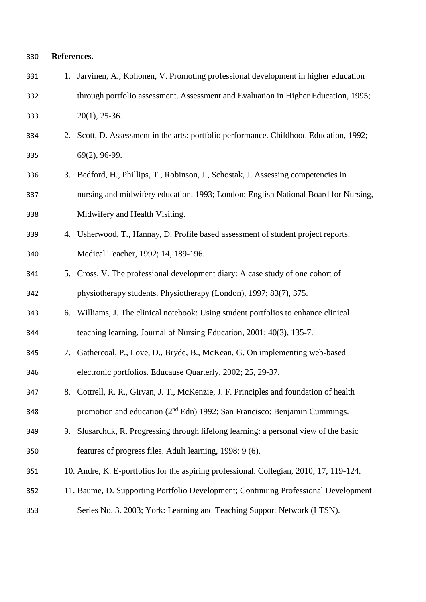#### **References.**

| 331 |    | 1. Jarvinen, A., Kohonen, V. Promoting professional development in higher education     |
|-----|----|-----------------------------------------------------------------------------------------|
| 332 |    | through portfolio assessment. Assessment and Evaluation in Higher Education, 1995;      |
| 333 |    | $20(1)$ , 25-36.                                                                        |
| 334 |    | 2. Scott, D. Assessment in the arts: portfolio performance. Childhood Education, 1992;  |
| 335 |    | 69(2), 96-99.                                                                           |
| 336 |    | 3. Bedford, H., Phillips, T., Robinson, J., Schostak, J. Assessing competencies in      |
| 337 |    | nursing and midwifery education. 1993; London: English National Board for Nursing,      |
| 338 |    | Midwifery and Health Visiting.                                                          |
| 339 |    | 4. Usherwood, T., Hannay, D. Profile based assessment of student project reports.       |
| 340 |    | Medical Teacher, 1992; 14, 189-196.                                                     |
| 341 |    | 5. Cross, V. The professional development diary: A case study of one cohort of          |
| 342 |    | physiotherapy students. Physiotherapy (London), 1997; 83(7), 375.                       |
| 343 | 6. | Williams, J. The clinical notebook: Using student portfolios to enhance clinical        |
| 344 |    | teaching learning. Journal of Nursing Education, 2001; 40(3), 135-7.                    |
| 345 |    | 7. Gathercoal, P., Love, D., Bryde, B., McKean, G. On implementing web-based            |
| 346 |    | electronic portfolios. Educause Quarterly, 2002; 25, 29-37.                             |
| 347 |    | 8. Cottrell, R. R., Girvan, J. T., McKenzie, J. F. Principles and foundation of health  |
| 348 |    | promotion and education (2 <sup>nd</sup> Edn) 1992; San Francisco: Benjamin Cummings.   |
| 349 | 9. | Slusarchuk, R. Progressing through lifelong learning: a personal view of the basic      |
| 350 |    | features of progress files. Adult learning, 1998; 9 (6).                                |
| 351 |    | 10. Andre, K. E-portfolios for the aspiring professional. Collegian, 2010; 17, 119-124. |
| 352 |    | 11. Baume, D. Supporting Portfolio Development; Continuing Professional Development     |
| 353 |    | Series No. 3. 2003; York: Learning and Teaching Support Network (LTSN).                 |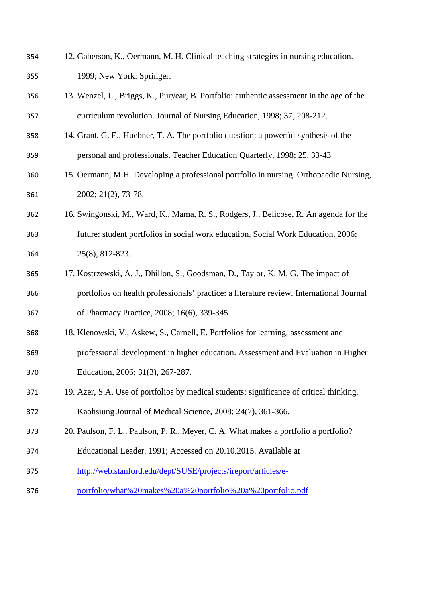| 354 | 12. Gaberson, K., Oermann, M. H. Clinical teaching strategies in nursing education.       |
|-----|-------------------------------------------------------------------------------------------|
| 355 | 1999; New York: Springer.                                                                 |
| 356 | 13. Wenzel, L., Briggs, K., Puryear, B. Portfolio: authentic assessment in the age of the |
| 357 | curriculum revolution. Journal of Nursing Education, 1998; 37, 208-212.                   |
| 358 | 14. Grant, G. E., Huebner, T. A. The portfolio question: a powerful synthesis of the      |
| 359 | personal and professionals. Teacher Education Quarterly, 1998; 25, 33-43                  |
| 360 | 15. Oermann, M.H. Developing a professional portfolio in nursing. Orthopaedic Nursing,    |
| 361 | 2002; 21(2), 73-78.                                                                       |
| 362 | 16. Swingonski, M., Ward, K., Mama, R. S., Rodgers, J., Belicose, R. An agenda for the    |
| 363 | future: student portfolios in social work education. Social Work Education, 2006;         |
| 364 | 25(8), 812-823.                                                                           |
| 365 | 17. Kostrzewski, A. J., Dhillon, S., Goodsman, D., Taylor, K. M. G. The impact of         |
| 366 | portfolios on health professionals' practice: a literature review. International Journal  |
| 367 | of Pharmacy Practice, 2008; 16(6), 339-345.                                               |
| 368 | 18. Klenowski, V., Askew, S., Carnell, E. Portfolios for learning, assessment and         |
| 369 | professional development in higher education. Assessment and Evaluation in Higher         |
| 370 | Education, 2006; 31(3), 267-287.                                                          |
| 371 | 19. Azer, S.A. Use of portfolios by medical students: significance of critical thinking.  |
| 372 | Kaohsiung Journal of Medical Science, 2008; 24(7), 361-366.                               |
| 373 | 20. Paulson, F. L., Paulson, P. R., Meyer, C. A. What makes a portfolio a portfolio?      |
| 374 | Educational Leader. 1991; Accessed on 20.10.2015. Available at                            |
| 375 | http://web.stanford.edu/dept/SUSE/projects/ireport/articles/e-                            |
| 376 | portfolio/what%20makes%20a%20portfolio%20a%20portfolio.pdf                                |
|     |                                                                                           |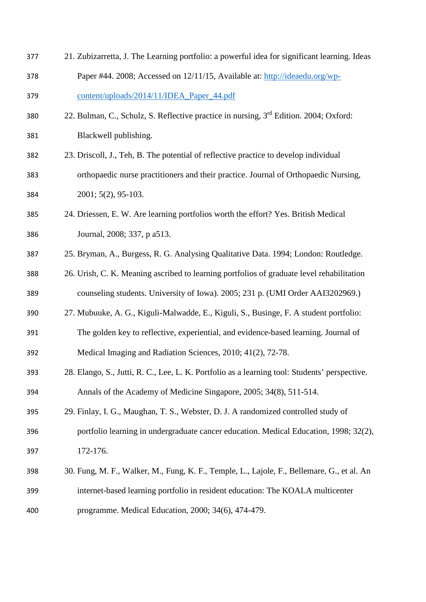| 377 | 21. Zubizarretta, J. The Learning portfolio: a powerful idea for significant learning. Ideas      |
|-----|---------------------------------------------------------------------------------------------------|
| 378 | Paper #44. 2008; Accessed on 12/11/15, Available at: http://ideaedu.org/wp-                       |
| 379 | content/uploads/2014/11/IDEA_Paper_44.pdf                                                         |
| 380 | 22. Bulman, C., Schulz, S. Reflective practice in nursing, 3 <sup>rd</sup> Edition. 2004; Oxford: |
| 381 | Blackwell publishing.                                                                             |
| 382 | 23. Driscoll, J., Teh, B. The potential of reflective practice to develop individual              |
| 383 | orthopaedic nurse practitioners and their practice. Journal of Orthopaedic Nursing,               |
| 384 | $2001; 5(2), 95-103.$                                                                             |
| 385 | 24. Driessen, E. W. Are learning portfolios worth the effort? Yes. British Medical                |
| 386 | Journal, 2008; 337, p a513.                                                                       |
| 387 | 25. Bryman, A., Burgess, R. G. Analysing Qualitative Data. 1994; London: Routledge.               |
| 388 | 26. Urish, C. K. Meaning ascribed to learning portfolios of graduate level rehabilitation         |
| 389 | counseling students. University of Iowa). 2005; 231 p. (UMI Order AAI3202969.)                    |
| 390 | 27. Mubuuke, A. G., Kiguli-Malwadde, E., Kiguli, S., Businge, F. A student portfolio:             |
| 391 | The golden key to reflective, experiential, and evidence-based learning. Journal of               |
| 392 | Medical Imaging and Radiation Sciences, 2010; 41(2), 72-78.                                       |
| 393 | 28. Elango, S., Jutti, R. C., Lee, L. K. Portfolio as a learning tool: Students' perspective.     |
| 394 | Annals of the Academy of Medicine Singapore, 2005; 34(8), 511-514.                                |
| 395 | 29. Finlay, I. G., Maughan, T. S., Webster, D. J. A randomized controlled study of                |
| 396 | portfolio learning in undergraduate cancer education. Medical Education, 1998; 32(2),             |
| 397 | 172-176.                                                                                          |
| 398 | 30. Fung, M. F., Walker, M., Fung, K. F., Temple, L., Lajole, F., Bellemare, G., et al. An        |
| 399 | internet-based learning portfolio in resident education: The KOALA multicenter                    |
| 400 | programme. Medical Education, 2000; 34(6), 474-479.                                               |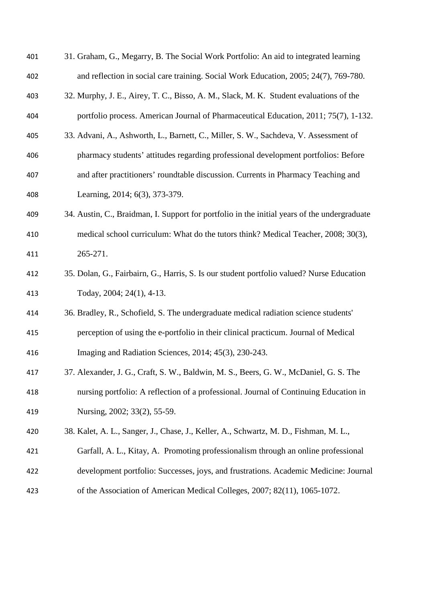| 401 | 31. Graham, G., Megarry, B. The Social Work Portfolio: An aid to integrated learning         |
|-----|----------------------------------------------------------------------------------------------|
| 402 | and reflection in social care training. Social Work Education, 2005; 24(7), 769-780.         |
| 403 | 32. Murphy, J. E., Airey, T. C., Bisso, A. M., Slack, M. K. Student evaluations of the       |
| 404 | portfolio process. American Journal of Pharmaceutical Education, 2011; 75(7), 1-132.         |
| 405 | 33. Advani, A., Ashworth, L., Barnett, C., Miller, S. W., Sachdeva, V. Assessment of         |
| 406 | pharmacy students' attitudes regarding professional development portfolios: Before           |
| 407 | and after practitioners' roundtable discussion. Currents in Pharmacy Teaching and            |
| 408 | Learning, 2014; 6(3), 373-379.                                                               |
| 409 | 34. Austin, C., Braidman, I. Support for portfolio in the initial years of the undergraduate |
| 410 | medical school curriculum: What do the tutors think? Medical Teacher, 2008; 30(3),           |
| 411 | 265-271.                                                                                     |
| 412 | 35. Dolan, G., Fairbairn, G., Harris, S. Is our student portfolio valued? Nurse Education    |
| 413 | Today, 2004; 24(1), 4-13.                                                                    |
| 414 | 36. Bradley, R., Schofield, S. The undergraduate medical radiation science students'         |
| 415 | perception of using the e-portfolio in their clinical practicum. Journal of Medical          |
| 416 | Imaging and Radiation Sciences, 2014; 45(3), 230-243.                                        |
| 417 | 37. Alexander, J. G., Craft, S. W., Baldwin, M. S., Beers, G. W., McDaniel, G. S. The        |
| 418 | nursing portfolio: A reflection of a professional. Journal of Continuing Education in        |
| 419 | Nursing, 2002; 33(2), 55-59.                                                                 |
| 420 | 38. Kalet, A. L., Sanger, J., Chase, J., Keller, A., Schwartz, M. D., Fishman, M. L.,        |
| 421 | Garfall, A. L., Kitay, A. Promoting professionalism through an online professional           |
| 422 | development portfolio: Successes, joys, and frustrations. Academic Medicine: Journal         |
| 423 | of the Association of American Medical Colleges, 2007; 82(11), 1065-1072.                    |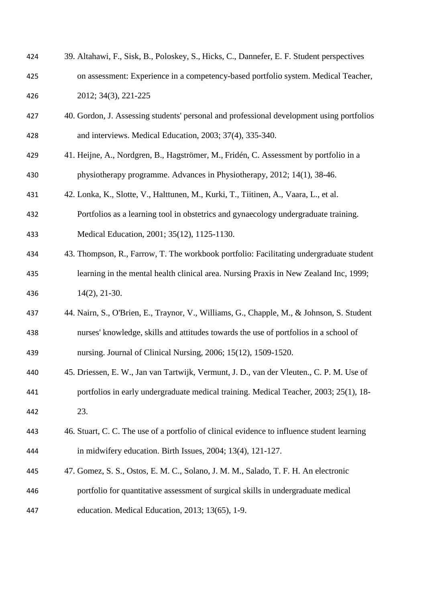| 424 | 39. Altahawi, F., Sisk, B., Poloskey, S., Hicks, C., Dannefer, E. F. Student perspectives   |
|-----|---------------------------------------------------------------------------------------------|
| 425 | on assessment: Experience in a competency-based portfolio system. Medical Teacher,          |
| 426 | 2012; 34(3), 221-225                                                                        |
| 427 | 40. Gordon, J. Assessing students' personal and professional development using portfolios   |
| 428 | and interviews. Medical Education, 2003; 37(4), 335-340.                                    |
| 429 | 41. Heijne, A., Nordgren, B., Hagströmer, M., Fridén, C. Assessment by portfolio in a       |
| 430 | physiotherapy programme. Advances in Physiotherapy, 2012; 14(1), 38-46.                     |
| 431 | 42. Lonka, K., Slotte, V., Halttunen, M., Kurki, T., Tiitinen, A., Vaara, L., et al.        |
| 432 | Portfolios as a learning tool in obstetrics and gynaecology undergraduate training.         |
| 433 | Medical Education, 2001; 35(12), 1125-1130.                                                 |
| 434 | 43. Thompson, R., Farrow, T. The workbook portfolio: Facilitating undergraduate student     |
| 435 | learning in the mental health clinical area. Nursing Praxis in New Zealand Inc, 1999;       |
| 436 | $14(2), 21-30.$                                                                             |
| 437 | 44. Nairn, S., O'Brien, E., Traynor, V., Williams, G., Chapple, M., & Johnson, S. Student   |
| 438 | nurses' knowledge, skills and attitudes towards the use of portfolios in a school of        |
| 439 | nursing. Journal of Clinical Nursing, 2006; 15(12), 1509-1520.                              |
| 440 | 45. Driessen, E. W., Jan van Tartwijk, Vermunt, J. D., van der Vleuten., C. P. M. Use of    |
| 441 | portfolios in early undergraduate medical training. Medical Teacher, 2003; 25(1), 18-       |
| 442 | 23.                                                                                         |
| 443 | 46. Stuart, C. C. The use of a portfolio of clinical evidence to influence student learning |
| 444 | in midwifery education. Birth Issues, 2004; 13(4), 121-127.                                 |
| 445 | 47. Gomez, S. S., Ostos, E. M. C., Solano, J. M. M., Salado, T. F. H. An electronic         |
| 446 | portfolio for quantitative assessment of surgical skills in undergraduate medical           |
| 447 | education. Medical Education, 2013; 13(65), 1-9.                                            |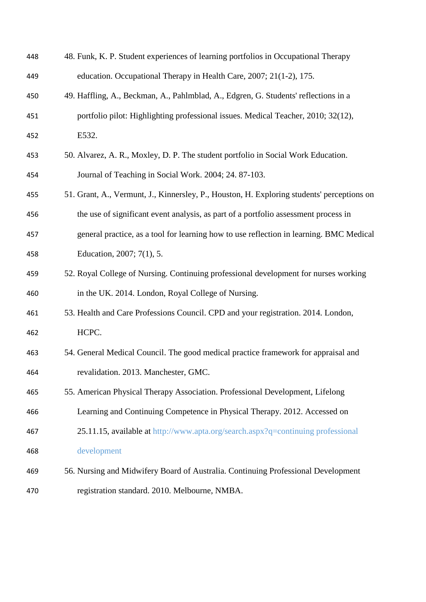| 448 | 48. Funk, K. P. Student experiences of learning portfolios in Occupational Therapy         |
|-----|--------------------------------------------------------------------------------------------|
| 449 | education. Occupational Therapy in Health Care, 2007; 21(1-2), 175.                        |
| 450 | 49. Haffling, A., Beckman, A., Pahlmblad, A., Edgren, G. Students' reflections in a        |
| 451 | portfolio pilot: Highlighting professional issues. Medical Teacher, 2010; 32(12),          |
| 452 | E532.                                                                                      |
| 453 | 50. Alvarez, A. R., Moxley, D. P. The student portfolio in Social Work Education.          |
| 454 | Journal of Teaching in Social Work. 2004; 24. 87-103.                                      |
| 455 | 51. Grant, A., Vermunt, J., Kinnersley, P., Houston, H. Exploring students' perceptions on |
| 456 | the use of significant event analysis, as part of a portfolio assessment process in        |
| 457 | general practice, as a tool for learning how to use reflection in learning. BMC Medical    |
| 458 | Education, 2007; 7(1), 5.                                                                  |
| 459 | 52. Royal College of Nursing. Continuing professional development for nurses working       |
| 460 | in the UK. 2014. London, Royal College of Nursing.                                         |
| 461 | 53. Health and Care Professions Council. CPD and your registration. 2014. London,          |
| 462 | HCPC.                                                                                      |
| 463 | 54. General Medical Council. The good medical practice framework for appraisal and         |
| 464 | revalidation. 2013. Manchester, GMC.                                                       |
| 465 | 55. American Physical Therapy Association. Professional Development, Lifelong              |
| 466 | Learning and Continuing Competence in Physical Therapy. 2012. Accessed on                  |
| 467 | 25.11.15, available at http://www.apta.org/search.aspx?q=continuing professional           |
| 468 | development                                                                                |
| 469 | 56. Nursing and Midwifery Board of Australia. Continuing Professional Development          |
| 470 | registration standard. 2010. Melbourne, NMBA.                                              |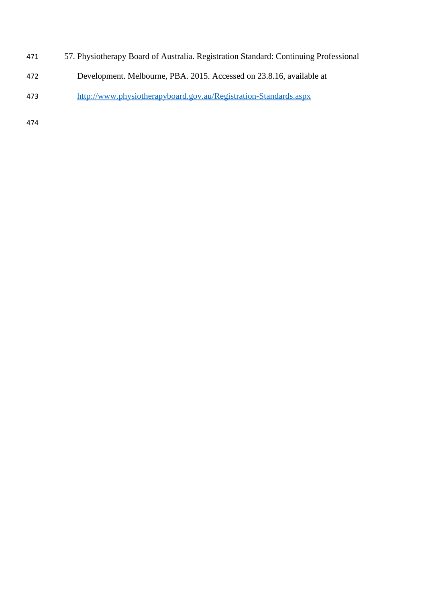- 57. Physiotherapy Board of Australia. Registration Standard: Continuing Professional
- Development. Melbourne, PBA. 2015. Accessed on 23.8.16, available at
- <http://www.physiotherapyboard.gov.au/Registration-Standards.aspx>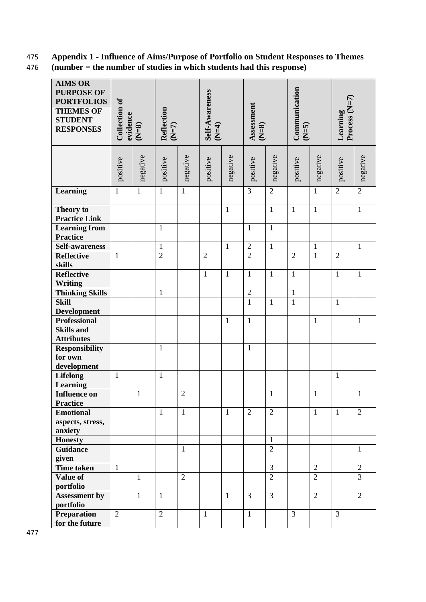## 475 **Appendix 1 - Influence of Aims/Purpose of Portfolio on Student Responses to Themes**

476 **(number = the number of studies in which students had this response)**

| <b>AIMS OR</b><br><b>PURPOSE OF</b><br><b>PORTFOLIOS</b><br><b>THEMES OF</b><br><b>STUDENT</b><br><b>RESPONSES</b> | <b>Collection of</b><br>evidence<br>$(N=8)$ |              | <b>Reflection</b><br>$(N=7)$ |                | Self-Awareness | $(1-\frac{4}{3})$ |                | Assessment<br>$(N=8)$ |                | Communication<br>$(2=5)$ |                | Process (N=7)<br>Learning |  |
|--------------------------------------------------------------------------------------------------------------------|---------------------------------------------|--------------|------------------------------|----------------|----------------|-------------------|----------------|-----------------------|----------------|--------------------------|----------------|---------------------------|--|
|                                                                                                                    | positive                                    | negative     | positive                     | negative       | positive       | negative          | positive       | negative              | positive       | negative                 | positive       | negative                  |  |
| Learning                                                                                                           | $\mathbf{1}$                                | $\mathbf{1}$ | $\mathbf{1}$                 | $\mathbf{1}$   |                |                   | $\overline{3}$ | $\overline{2}$        |                | $\mathbf{1}$             | $\overline{2}$ | $\overline{2}$            |  |
| Theory to<br><b>Practice Link</b>                                                                                  |                                             |              |                              |                |                | $\mathbf{1}$      |                | $\mathbf{1}$          | $\mathbf{1}$   | $\mathbf{1}$             |                | $\mathbf{1}$              |  |
| <b>Learning from</b><br>Practice                                                                                   |                                             |              | $\mathbf{1}$                 |                |                |                   | $\mathbf{1}$   | $\mathbf{1}$          |                |                          |                |                           |  |
| Self-awareness                                                                                                     |                                             |              | $\mathbf{1}$                 |                |                | $\mathbf{1}$      | $\overline{2}$ | $\mathbf{1}$          |                | $\mathbf{1}$             |                | $\mathbf{1}$              |  |
| <b>Reflective</b><br>skills                                                                                        | $\mathbf{1}$                                |              | $\overline{2}$               |                | $\overline{2}$ |                   | $\overline{2}$ |                       | $\overline{2}$ | $\mathbf{1}$             | $\overline{2}$ |                           |  |
| <b>Reflective</b><br><b>Writing</b>                                                                                |                                             |              |                              |                | $\mathbf{1}$   | $\mathbf{1}$      | $\mathbf{1}$   | $\mathbf{1}$          | $\mathbf{1}$   |                          | $\mathbf{1}$   | $\mathbf{1}$              |  |
| <b>Thinking Skills</b>                                                                                             |                                             |              | 1                            |                |                |                   | $\sqrt{2}$     |                       | $\mathbf{1}$   |                          |                |                           |  |
| <b>Skill</b><br><b>Development</b>                                                                                 |                                             |              |                              |                |                |                   | $\mathbf{1}$   | $\mathbf{1}$          | $\mathbf{1}$   |                          | $\mathbf{1}$   |                           |  |
| <b>Professional</b><br><b>Skills and</b><br><b>Attributes</b>                                                      |                                             |              |                              |                |                | $\mathbf{1}$      | $\mathbf{1}$   |                       |                | $\mathbf{1}$             |                | $\mathbf{1}$              |  |
| <b>Responsibility</b><br>for own<br>development                                                                    |                                             |              | $\mathbf{1}$                 |                |                |                   | $\mathbf{1}$   |                       |                |                          |                |                           |  |
| <b>Lifelong</b><br><b>Learning</b>                                                                                 | $\mathbf{1}$                                |              | $\mathbf{1}$                 |                |                |                   |                |                       |                |                          | $\mathbf{1}$   |                           |  |
| <b>Influence on</b><br><b>Practice</b>                                                                             |                                             | $\mathbf{1}$ |                              | $\overline{2}$ |                |                   |                | $\mathbf{1}$          |                | $\mathbf{1}$             |                | $\mathbf{1}$              |  |
| <b>Emotional</b><br>aspects, stress,<br>anxiety                                                                    |                                             |              | $\mathbf{1}$                 | $\mathbf{1}$   |                | $\mathbf{1}$      | $\overline{2}$ | $\overline{2}$        |                | $\mathbf{1}$             | $\mathbf{1}$   | $\overline{2}$            |  |
| <b>Honesty</b>                                                                                                     |                                             |              |                              |                |                |                   |                | $\mathbf{1}$          |                |                          |                |                           |  |
| <b>Guidance</b><br>given                                                                                           |                                             |              |                              | $\mathbf{1}$   |                |                   |                | $\overline{2}$        |                |                          |                | 1                         |  |
| <b>Time taken</b>                                                                                                  | $\mathbf{1}$                                |              |                              |                |                |                   |                | 3                     |                | $\overline{2}$           |                | $\overline{2}$            |  |
| Value of<br>portfolio                                                                                              |                                             | $\mathbf{1}$ |                              | $\overline{2}$ |                |                   |                | $\overline{2}$        |                | $\overline{2}$           |                | $\overline{3}$            |  |
| <b>Assessment by</b><br>portfolio                                                                                  |                                             | $\mathbf{1}$ | $\mathbf{1}$                 |                |                | $\mathbf{1}$      | 3              | 3                     |                | $\overline{2}$           |                | $\overline{2}$            |  |
| <b>Preparation</b><br>for the future                                                                               | $\overline{2}$                              |              | $\overline{2}$               |                | $\mathbf{1}$   |                   | $\mathbf{1}$   |                       | $\overline{3}$ |                          | 3              |                           |  |